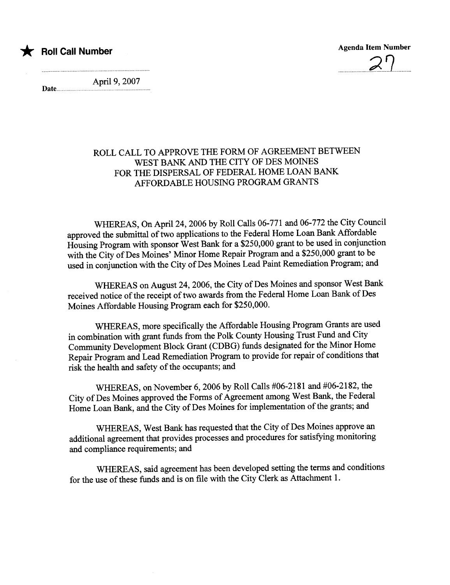

\* Roll Call Number Agenda Item Number Agenda Item Number

Date.n...

April 9, 2007

## ROLL CALL TO APPROVE THE FORM OF AGREEMENT BETWEEN WEST BANK AND THE CITY OF DES MOINES FOR THE DISPERSAL OF FEDERAL HOME LOAN BANK AFFORDABLE HOUSING PROGRAM GRANTS

WHEREAS, On April 24, 2006 by Roll Calls 06-771 and 06-772 the City Council approved the submittal of two applications to the Federal Home Loan Bank Affordable Housing Program with sponsor West Bank for a \$250,000 grant to be used in conjunction with the City of Des Moines' Minor Home Repair Program and a \$250,000 grant to be used in conjunction with the City of Des Moines Lead Paint Remediation Program; and

WHEREAS on August 24, 2006, the City of Des Moines and sponsor West Bank received notice of the receipt of two awards from the Federal Home Loan Bank of Des Moines Affordable Housing Program each for \$250,000.

WHEREAS, more specifically the Affordable Housing Program Grants are used in combination with grant fuds from the Polk County Housing Trust Fund and City Communty Development Block Grant (CDBG) fuds designated for the Minor Home Repair Program and Lead Remediation Program to provide for repair of conditions that risk the health and safety of the occupants; and

WHEREAS, on November 6,2006 by Roll Calls #06-2181 and #06-2182, the City of Des Moines approved the Forms of Agreement among West Bank, the Federal Home Loan Bank, and the City of Des Moines for implementation of the grants; and

WHEREAS, West Bank has requested that the City of Des Moines approve an additional agreement that provides processes and procedures for satisfying monitoring and compliance requirements; and

WHEREAS, said agreement has been developed setting the terms and conditions for the use of these funds and is on file with the City Clerk as Attachment 1.